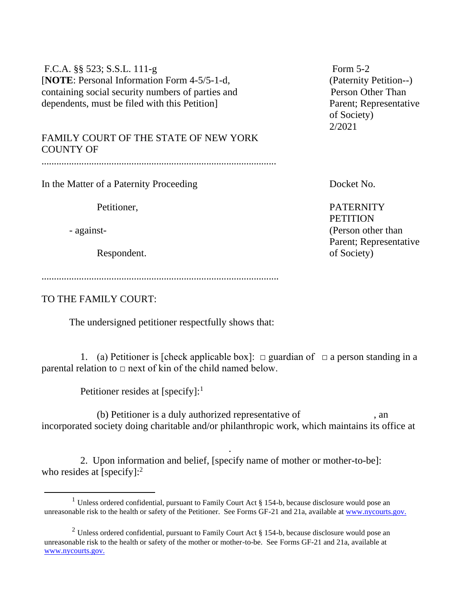| F.C.A. §§ 523; S.S.L. 111-g                       | Form $5-2$                                   |
|---------------------------------------------------|----------------------------------------------|
| [NOTE: Personal Information Form 4-5/5-1-d,       | (Paternity Petition--                        |
| containing social security numbers of parties and | Person Other Than                            |
| dependents, must be filed with this Petition      | Parent; Representat<br>of Society)<br>2/2021 |
| FAMILY COURT OF THE STATE OF NEW YORK             |                                              |

COUNTY OF ..............................................................................................

In the Matter of a Paternity Proceeding Docket No.

Respondent. of Society)

...............................................................................................

TO THE FAMILY COURT:

The undersigned petitioner respectfully shows that:

1. (a) Petitioner is [check applicable box]:  $\Box$  guardian of  $\Box$  a person standing in a parental relation to  $\Box$  next of kin of the child named below.

Petitioner resides at [specify]:<sup>1</sup>

 (b) Petitioner is a duly authorized representative of , an incorporated society doing charitable and/or philanthropic work, which maintains its office at

.

2. Upon information and belief, [specify name of mother or mother-to-be]: who resides at [specify]:<sup>2</sup>

(Paternity Petition--) Parent: Representative of Society) 2/2021

Petitioner, PATERNITY **PETITION** - against- (Person other than Parent; Representative

<sup>&</sup>lt;sup>1</sup> Unless ordered confidential, pursuant to Family Court Act § 154-b, because disclosure would pose an unreasonable risk to the health or safety of the Petitioner. See Forms GF-21 and 21a, available a[t www.nycourts.gov.](http://www.nycourts.gov/)

<sup>&</sup>lt;sup>2</sup> Unless ordered confidential, pursuant to Family Court Act  $\S$  154-b, because disclosure would pose an unreasonable risk to the health or safety of the mother or mother-to-be. See Forms GF-21 and 21a, available at [www.nycourts.gov.](http://www.nycourts.gov/)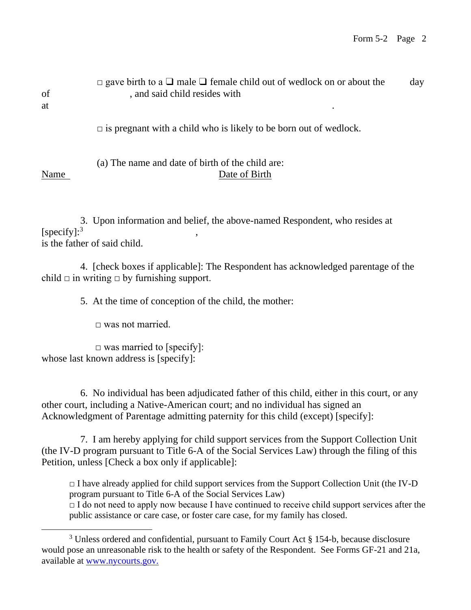| of<br>at | $\Box$ gave birth to a $\Box$ male $\Box$ female child out of wedlock on or about the<br>, and said child resides with<br>$\bullet$ | day |
|----------|-------------------------------------------------------------------------------------------------------------------------------------|-----|
|          | $\Box$ is pregnant with a child who is likely to be born out of wedlock.                                                            |     |
| Name     | (a) The name and date of birth of the child are:<br>Date of Birth                                                                   |     |

3. Upon information and belief, the above-named Respondent, who resides at [specify]: $3$ ] , is the father of said child.

 4. [check boxes if applicable]: The Respondent has acknowledged parentage of the child  $\Box$  in writing  $\Box$  by furnishing support.

5. At the time of conception of the child, the mother:

 $\Box$  was not married.

 $\Box$  was married to [specify]: whose last known address is [specify]:

6. No individual has been adjudicated father of this child, either in this court, or any other court, including a Native-American court; and no individual has signed an Acknowledgment of Parentage admitting paternity for this child (except) [specify]:

7. I am hereby applying for child support services from the Support Collection Unit (the IV-D program pursuant to Title 6-A of the Social Services Law) through the filing of this Petition, unless [Check a box only if applicable]:

 $\Box$  I have already applied for child support services from the Support Collection Unit (the IV-D program pursuant to Title 6-A of the Social Services Law)

 $\Box$  I do not need to apply now because I have continued to receive child support services after the public assistance or care case, or foster care case, for my family has closed.

<sup>&</sup>lt;sup>3</sup> Unless ordered and confidential, pursuant to Family Court Act § 154-b, because disclosure would pose an unreasonable risk to the health or safety of the Respondent. See Forms GF-21 and 21a, available at [www.nycourts.gov.](http://www.nycourts.gov/)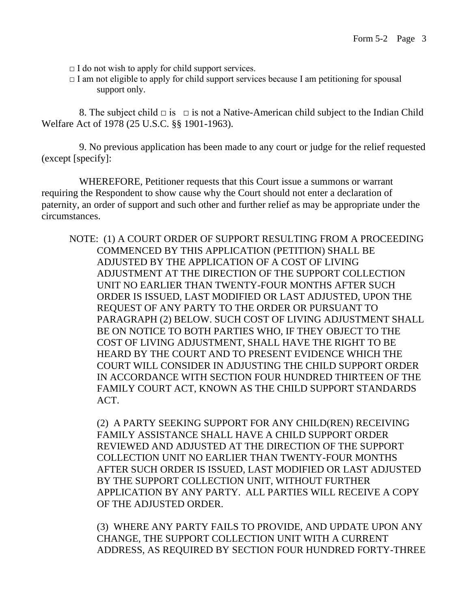- $\Box$  I do not wish to apply for child support services.
- $\Box$  I am not eligible to apply for child support services because I am petitioning for spousal support only.

8. The subject child  $\Box$  is  $\Box$  is not a Native-American child subject to the Indian Child Welfare Act of 1978 (25 U.S.C. §§ 1901-1963).

 9. No previous application has been made to any court or judge for the relief requested (except [specify]:

 WHEREFORE, Petitioner requests that this Court issue a summons or warrant requiring the Respondent to show cause why the Court should not enter a declaration of paternity, an order of support and such other and further relief as may be appropriate under the circumstances.

NOTE: (1) A COURT ORDER OF SUPPORT RESULTING FROM A PROCEEDING COMMENCED BY THIS APPLICATION (PETITION) SHALL BE ADJUSTED BY THE APPLICATION OF A COST OF LIVING ADJUSTMENT AT THE DIRECTION OF THE SUPPORT COLLECTION UNIT NO EARLIER THAN TWENTY-FOUR MONTHS AFTER SUCH ORDER IS ISSUED, LAST MODIFIED OR LAST ADJUSTED, UPON THE REQUEST OF ANY PARTY TO THE ORDER OR PURSUANT TO PARAGRAPH (2) BELOW. SUCH COST OF LIVING ADJUSTMENT SHALL BE ON NOTICE TO BOTH PARTIES WHO, IF THEY OBJECT TO THE COST OF LIVING ADJUSTMENT, SHALL HAVE THE RIGHT TO BE HEARD BY THE COURT AND TO PRESENT EVIDENCE WHICH THE COURT WILL CONSIDER IN ADJUSTING THE CHILD SUPPORT ORDER IN ACCORDANCE WITH SECTION FOUR HUNDRED THIRTEEN OF THE FAMILY COURT ACT, KNOWN AS THE CHILD SUPPORT STANDARDS ACT.

(2) A PARTY SEEKING SUPPORT FOR ANY CHILD(REN) RECEIVING FAMILY ASSISTANCE SHALL HAVE A CHILD SUPPORT ORDER REVIEWED AND ADJUSTED AT THE DIRECTION OF THE SUPPORT COLLECTION UNIT NO EARLIER THAN TWENTY-FOUR MONTHS AFTER SUCH ORDER IS ISSUED, LAST MODIFIED OR LAST ADJUSTED BY THE SUPPORT COLLECTION UNIT, WITHOUT FURTHER APPLICATION BY ANY PARTY. ALL PARTIES WILL RECEIVE A COPY OF THE ADJUSTED ORDER.

(3) WHERE ANY PARTY FAILS TO PROVIDE, AND UPDATE UPON ANY CHANGE, THE SUPPORT COLLECTION UNIT WITH A CURRENT ADDRESS, AS REQUIRED BY SECTION FOUR HUNDRED FORTY-THREE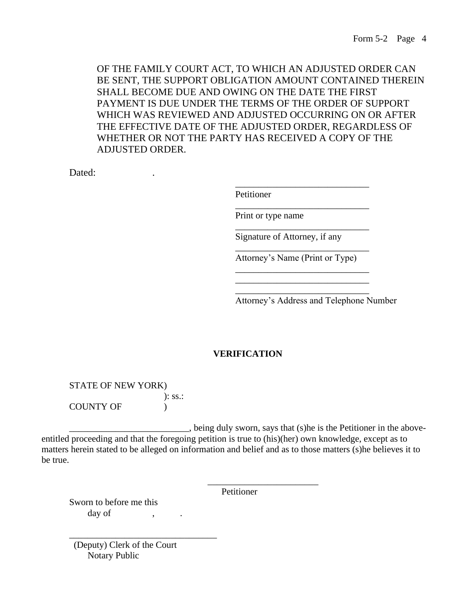OF THE FAMILY COURT ACT, TO WHICH AN ADJUSTED ORDER CAN BE SENT, THE SUPPORT OBLIGATION AMOUNT CONTAINED THEREIN SHALL BECOME DUE AND OWING ON THE DATE THE FIRST PAYMENT IS DUE UNDER THE TERMS OF THE ORDER OF SUPPORT WHICH WAS REVIEWED AND ADJUSTED OCCURRING ON OR AFTER THE EFFECTIVE DATE OF THE ADJUSTED ORDER, REGARDLESS OF WHETHER OR NOT THE PARTY HAS RECEIVED A COPY OF THE ADJUSTED ORDER.

Dated: The contract of the contract of the contract of the contract of the contract of the contract of the contract of the contract of the contract of the contract of the contract of the contract of the contract of the con

| Print or type name<br>Signature of Attorney, if any |  |
|-----------------------------------------------------|--|
|                                                     |  |
| Attorney's Name (Print or Type)                     |  |
|                                                     |  |

## **VERIFICATION**

STATE OF NEW YORK) ): ss.: COUNTY OF  $)$ 

 $\_\_\_\_\$ , being duly sworn, says that (s)he is the Petitioner in the aboveentitled proceeding and that the foregoing petition is true to (his)(her) own knowledge, except as to matters herein stated to be alleged on information and belief and as to those matters (s)he believes it to be true.

Petitioner

\_\_\_\_\_\_\_\_\_\_\_\_\_\_\_\_\_\_\_\_\_\_\_\_

Sworn to before me this day of

 (Deputy) Clerk of the Court Notary Public

\_\_\_\_\_\_\_\_\_\_\_\_\_\_\_\_\_\_\_\_\_\_\_\_\_\_\_\_\_\_\_\_